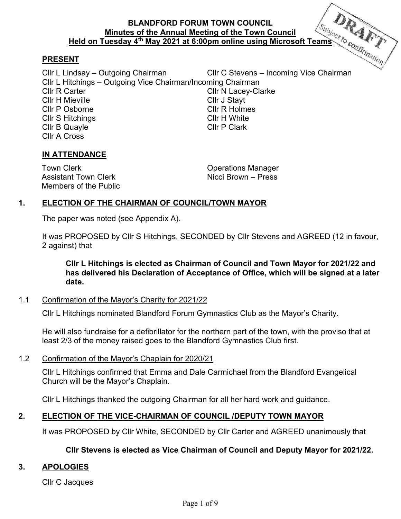# **BLANDFORD FORUM TOWN COUNCIL Minutes of the Annual Meeting of the Town Council Held on Tuesday 4<sup>th</sup> May 2021 at 6:00pm online using Microsoft Teams** *to confining at* the May 2021 at 6:00pm online using Microsoft Teams *to confining ation*

## **PRESENT**

Cllr L Lindsay – Outgoing Chairman Cllr C Stevens – Incoming Vice Chairman Cllr L Hitchings – Outgoing Vice Chairman/Incoming Chairman Cllr N Lacey-Clarke Cllr H Mieville **Cllr** J Stayt Cllr P Osborne Cllr R Holmes Cllr S Hitchings Cllr H White Cllr B Quayle Cllr P Clark Cllr A Cross

## **IN ATTENDANCE**

Town Clerk **Clearly Contract Contract Contract Contract Contract Contract Contract Contract Contract Contract Contract Contract Contract Contract Contract Contract Contract Contract Contract Contract Contract Contract Cont** Assistant Town Clerk Nicci Brown – Press Members of the Public

# **1. ELECTION OF THE CHAIRMAN OF COUNCIL/TOWN MAYOR**

The paper was noted (see Appendix A).

It was PROPOSED by Cllr S Hitchings, SECONDED by Cllr Stevens and AGREED (12 in favour, 2 against) that

**Cllr L Hitchings is elected as Chairman of Council and Town Mayor for 2021/22 and has delivered his Declaration of Acceptance of Office, which will be signed at a later date.** 

1.1 Confirmation of the Mayor's Charity for 2021/22

Cllr L Hitchings nominated Blandford Forum Gymnastics Club as the Mayor's Charity.

He will also fundraise for a defibrillator for the northern part of the town, with the proviso that at least 2/3 of the money raised goes to the Blandford Gymnastics Club first.

1.2 Confirmation of the Mayor's Chaplain for 2020/21

Cllr L Hitchings confirmed that Emma and Dale Carmichael from the Blandford Evangelical Church will be the Mayor's Chaplain.

Cllr L Hitchings thanked the outgoing Chairman for all her hard work and guidance.

# **2. ELECTION OF THE VICE-CHAIRMAN OF COUNCIL /DEPUTY TOWN MAYOR**

It was PROPOSED by Cllr White, SECONDED by Cllr Carter and AGREED unanimously that

#### **Cllr Stevens is elected as Vice Chairman of Council and Deputy Mayor for 2021/22.**

#### **3. APOLOGIES**

Cllr C Jacques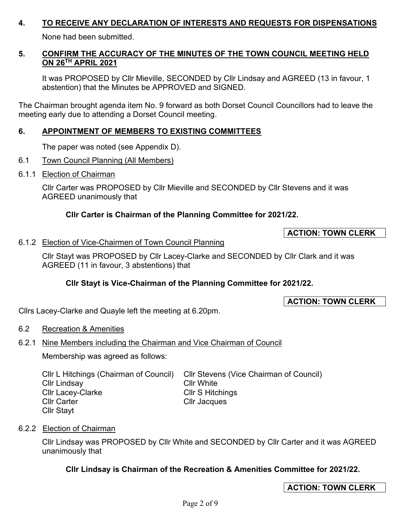## **4. TO RECEIVE ANY DECLARATION OF INTERESTS AND REQUESTS FOR DISPENSATIONS**

None had been submitted.

## **5. CONFIRM THE ACCURACY OF THE MINUTES OF THE TOWN COUNCIL MEETING HELD ON 26TH APRIL 2021**

It was PROPOSED by Cllr Mieville, SECONDED by Cllr Lindsay and AGREED (13 in favour, 1 abstention) that the Minutes be APPROVED and SIGNED.

The Chairman brought agenda item No. 9 forward as both Dorset Council Councillors had to leave the meeting early due to attending a Dorset Council meeting.

## **6. APPOINTMENT OF MEMBERS TO EXISTING COMMITTEES**

The paper was noted (see Appendix D).

- 6.1 Town Council Planning (All Members)
- 6.1.1 Election of Chairman

Cllr Carter was PROPOSED by Cllr Mieville and SECONDED by Cllr Stevens and it was AGREED unanimously that

# **Cllr Carter is Chairman of the Planning Committee for 2021/22.**

## **ACTION: TOWN CLERK**

## 6.1.2 Election of Vice-Chairmen of Town Council Planning

Cllr Stayt was PROPOSED by Cllr Lacey-Clarke and SECONDED by Cllr Clark and it was AGREED (11 in favour, 3 abstentions) that

# **Cllr Stayt is Vice-Chairman of the Planning Committee for 2021/22.**

**ACTION: TOWN CLERK** 

Cllrs Lacey-Clarke and Quayle left the meeting at 6.20pm.

6.2 Recreation & Amenities

# 6.2.1 Nine Members including the Chairman and Vice Chairman of Council

Membership was agreed as follows:

| CIIr L Hitchings (Chairman of Council) | CIIr Stevens (Vice Chairman of Council) |
|----------------------------------------|-----------------------------------------|
| <b>Cllr Lindsay</b>                    | <b>Cllr White</b>                       |
| <b>CIIr Lacey-Clarke</b>               | <b>Cllr S Hitchings</b>                 |
| <b>Cllr Carter</b>                     | Cllr Jacques                            |
| <b>Cllr Stayt</b>                      |                                         |

#### 6.2.2 Election of Chairman

Cllr Lindsay was PROPOSED by Cllr White and SECONDED by Cllr Carter and it was AGREED unanimously that

# **Cllr Lindsay is Chairman of the Recreation & Amenities Committee for 2021/22.**

**ACTION: TOWN CLERK**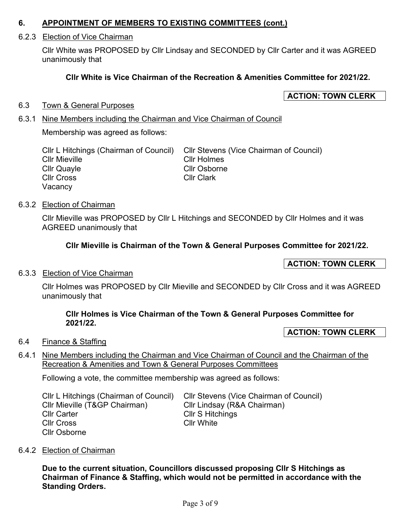#### **6. APPOINTMENT OF MEMBERS TO EXISTING COMMITTEES (cont.)**

#### 6.2.3 Election of Vice Chairman

Cllr White was PROPOSED by Cllr Lindsay and SECONDED by Cllr Carter and it was AGREED unanimously that

## **Cllr White is Vice Chairman of the Recreation & Amenities Committee for 2021/22.**

## **ACTION: TOWN CLERK**

#### 6.3 Town & General Purposes

#### 6.3.1 Nine Members including the Chairman and Vice Chairman of Council

Membership was agreed as follows:

| Cllr L Hitchings (Chairman of Council) | Cllr Stevens (Vice Chairman of Council) |
|----------------------------------------|-----------------------------------------|
| Cllr Mieville                          | <b>CIIr Holmes</b>                      |
| Cllr Quayle                            | <b>Cllr Osborne</b>                     |
| Cllr Cross                             | <b>Cllr Clark</b>                       |
| Vacancy                                |                                         |

#### 6.3.2 Election of Chairman

Cllr Mieville was PROPOSED by Cllr L Hitchings and SECONDED by Cllr Holmes and it was AGREED unanimously that

## **Cllr Mieville is Chairman of the Town & General Purposes Committee for 2021/22.**

### **ACTION: TOWN CLERK**

#### 6.3.3 Election of Vice Chairman

Cllr Holmes was PROPOSED by Cllr Mieville and SECONDED by Cllr Cross and it was AGREED unanimously that

#### **Cllr Holmes is Vice Chairman of the Town & General Purposes Committee for 2021/22.**

### **ACTION: TOWN CLERK**

#### 6.4 Finance & Staffing

6.4.1 Nine Members including the Chairman and Vice Chairman of Council and the Chairman of the Recreation & Amenities and Town & General Purposes Committees

Following a vote, the committee membership was agreed as follows:

| Cllr L Hitchings (Chairman of Council) | Cllr Stevens (Vice Chairman of Council) |
|----------------------------------------|-----------------------------------------|
| Cllr Mieville (T&GP Chairman)          | Cllr Lindsay (R&A Chairman)             |
| <b>Cllr Carter</b>                     | <b>CIIr S Hitchings</b>                 |
| <b>CIIr Cross</b>                      | <b>Cllr White</b>                       |
| <b>Cllr Osborne</b>                    |                                         |

#### 6.4.2 Election of Chairman

**Due to the current situation, Councillors discussed proposing Cllr S Hitchings as Chairman of Finance & Staffing, which would not be permitted in accordance with the Standing Orders.**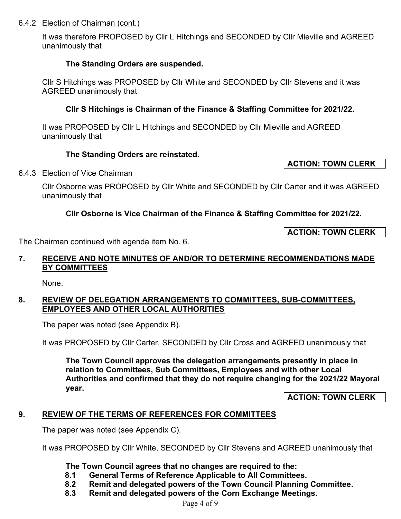#### 6.4.2 Election of Chairman (cont.)

It was therefore PROPOSED by Cllr L Hitchings and SECONDED by Cllr Mieville and AGREED unanimously that

## **The Standing Orders are suspended.**

Cllr S Hitchings was PROPOSED by Cllr White and SECONDED by Cllr Stevens and it was AGREED unanimously that

# **Cllr S Hitchings is Chairman of the Finance & Staffing Committee for 2021/22.**

It was PROPOSED by Cllr L Hitchings and SECONDED by Cllr Mieville and AGREED unanimously that

## **The Standing Orders are reinstated.**

#### 6.4.3 Election of Vice Chairman

Cllr Osborne was PROPOSED by Cllr White and SECONDED by Cllr Carter and it was AGREED unanimously that

# **Cllr Osborne is Vice Chairman of the Finance & Staffing Committee for 2021/22.**

**ACTION: TOWN CLERK** 

The Chairman continued with agenda item No. 6.

## **7. RECEIVE AND NOTE MINUTES OF AND/OR TO DETERMINE RECOMMENDATIONS MADE BY COMMITTEES**

None.

## **8. REVIEW OF DELEGATION ARRANGEMENTS TO COMMITTEES, SUB-COMMITTEES, EMPLOYEES AND OTHER LOCAL AUTHORITIES**

The paper was noted (see Appendix B).

It was PROPOSED by Cllr Carter, SECONDED by Cllr Cross and AGREED unanimously that

**The Town Council approves the delegation arrangements presently in place in relation to Committees, Sub Committees, Employees and with other Local Authorities and confirmed that they do not require changing for the 2021/22 Mayoral year.** 

**ACTION: TOWN CLERK** 

# **9. REVIEW OF THE TERMS OF REFERENCES FOR COMMITTEES**

The paper was noted (see Appendix C).

It was PROPOSED by Cllr White, SECONDED by Cllr Stevens and AGREED unanimously that

- **The Town Council agrees that no changes are required to the:**
- **8.1 General Terms of Reference Applicable to All Committees.**
- **Remit and delegated powers of the Town Council Planning Committee.**
- **8.3 Remit and delegated powers of the Corn Exchange Meetings.**

#### **ACTION: TOWN CLERK**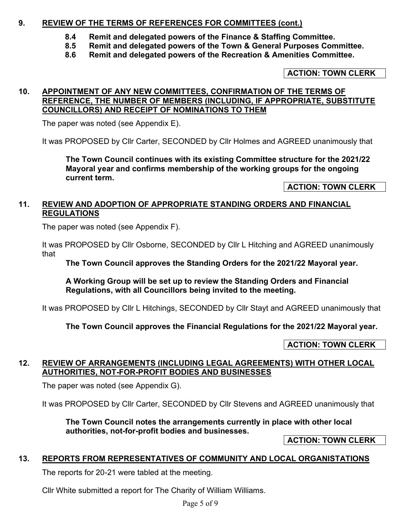## **9. REVIEW OF THE TERMS OF REFERENCES FOR COMMITTEES (cont.)**

- **8.4 Remit and delegated powers of the Finance & Staffing Committee.**
- **8.5 Remit and delegated powers of the Town & General Purposes Committee.**
- **8.6 Remit and delegated powers of the Recreation & Amenities Committee.**

### **ACTION: TOWN CLERK**

#### **10. APPOINTMENT OF ANY NEW COMMITTEES, CONFIRMATION OF THE TERMS OF REFERENCE, THE NUMBER OF MEMBERS (INCLUDING, IF APPROPRIATE, SUBSTITUTE COUNCILLORS) AND RECEIPT OF NOMINATIONS TO THEM**

The paper was noted (see Appendix E).

It was PROPOSED by Cllr Carter, SECONDED by Cllr Holmes and AGREED unanimously that

**The Town Council continues with its existing Committee structure for the 2021/22 Mayoral year and confirms membership of the working groups for the ongoing current term.** 

**ACTION: TOWN CLERK** 

## **11. REVIEW AND ADOPTION OF APPROPRIATE STANDING ORDERS AND FINANCIAL REGULATIONS**

The paper was noted (see Appendix F).

It was PROPOSED by Cllr Osborne, SECONDED by Cllr L Hitching and AGREED unanimously that

**The Town Council approves the Standing Orders for the 2021/22 Mayoral year.**

**A Working Group will be set up to review the Standing Orders and Financial Regulations, with all Councillors being invited to the meeting.** 

It was PROPOSED by Cllr L Hitchings, SECONDED by Cllr Stayt and AGREED unanimously that

**The Town Council approves the Financial Regulations for the 2021/22 Mayoral year.**

#### **ACTION: TOWN CLERK**

#### **12. REVIEW OF ARRANGEMENTS (INCLUDING LEGAL AGREEMENTS) WITH OTHER LOCAL AUTHORITIES, NOT-FOR-PROFIT BODIES AND BUSINESSES**

The paper was noted (see Appendix G).

It was PROPOSED by Cllr Carter, SECONDED by Cllr Stevens and AGREED unanimously that

**The Town Council notes the arrangements currently in place with other local authorities, not-for-profit bodies and businesses.** 

**ACTION: TOWN CLERK** 

#### **13. REPORTS FROM REPRESENTATIVES OF COMMUNITY AND LOCAL ORGANISTATIONS**

The reports for 20-21 were tabled at the meeting.

Cllr White submitted a report for The Charity of William Williams.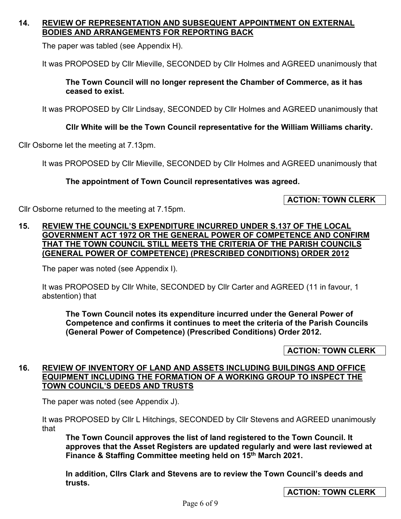## **14. REVIEW OF REPRESENTATION AND SUBSEQUENT APPOINTMENT ON EXTERNAL BODIES AND ARRANGEMENTS FOR REPORTING BACK**

The paper was tabled (see Appendix H).

It was PROPOSED by Cllr Mieville, SECONDED by Cllr Holmes and AGREED unanimously that

## **The Town Council will no longer represent the Chamber of Commerce, as it has ceased to exist.**

It was PROPOSED by Cllr Lindsay, SECONDED by Cllr Holmes and AGREED unanimously that

# **Cllr White will be the Town Council representative for the William Williams charity.**

Cllr Osborne let the meeting at 7.13pm.

It was PROPOSED by Cllr Mieville, SECONDED by Cllr Holmes and AGREED unanimously that

# **The appointment of Town Council representatives was agreed.**

# **ACTION: TOWN CLERK**

Cllr Osborne returned to the meeting at 7.15pm.

## **15. REVIEW THE COUNCIL'S EXPENDITURE INCURRED UNDER S.137 OF THE LOCAL GOVERNMENT ACT 1972 OR THE GENERAL POWER OF COMPETENCE AND CONFIRM THAT THE TOWN COUNCIL STILL MEETS THE CRITERIA OF THE PARISH COUNCILS (GENERAL POWER OF COMPETENCE) (PRESCRIBED CONDITIONS) ORDER 2012**

The paper was noted (see Appendix I).

It was PROPOSED by Cllr White, SECONDED by Cllr Carter and AGREED (11 in favour, 1 abstention) that

**The Town Council notes its expenditure incurred under the General Power of Competence and confirms it continues to meet the criteria of the Parish Councils (General Power of Competence) (Prescribed Conditions) Order 2012.** 

# **ACTION: TOWN CLERK**

## **16. REVIEW OF INVENTORY OF LAND AND ASSETS INCLUDING BUILDINGS AND OFFICE EQUIPMENT INCLUDING THE FORMATION OF A WORKING GROUP TO INSPECT THE TOWN COUNCIL'S DEEDS AND TRUSTS**

The paper was noted (see Appendix J).

It was PROPOSED by Cllr L Hitchings, SECONDED by Cllr Stevens and AGREED unanimously that

**The Town Council approves the list of land registered to the Town Council. It approves that the Asset Registers are updated regularly and were last reviewed at Finance & Staffing Committee meeting held on 15th March 2021.** 

**In addition, Cllrs Clark and Stevens are to review the Town Council's deeds and trusts.**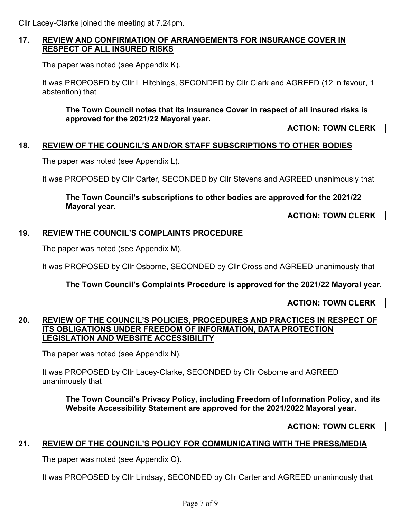Cllr Lacey-Clarke joined the meeting at 7.24pm.

# **17. REVIEW AND CONFIRMATION OF ARRANGEMENTS FOR INSURANCE COVER IN RESPECT OF ALL INSURED RISKS**

The paper was noted (see Appendix K).

It was PROPOSED by Cllr L Hitchings, SECONDED by Cllr Clark and AGREED (12 in favour, 1 abstention) that

**The Town Council notes that its Insurance Cover in respect of all insured risks is approved for the 2021/22 Mayoral year.** 

**ACTION: TOWN CLERK** 

# **18. REVIEW OF THE COUNCIL'S AND/OR STAFF SUBSCRIPTIONS TO OTHER BODIES**

The paper was noted (see Appendix L).

It was PROPOSED by Cllr Carter, SECONDED by Cllr Stevens and AGREED unanimously that

## **The Town Council's subscriptions to other bodies are approved for the 2021/22 Mayoral year.**

**ACTION: TOWN CLERK** 

# **19. REVIEW THE COUNCIL'S COMPLAINTS PROCEDURE**

The paper was noted (see Appendix M).

It was PROPOSED by Cllr Osborne, SECONDED by Cllr Cross and AGREED unanimously that

**The Town Council's Complaints Procedure is approved for the 2021/22 Mayoral year.** 

**ACTION: TOWN CLERK** 

## **20. REVIEW OF THE COUNCIL'S POLICIES, PROCEDURES AND PRACTICES IN RESPECT OF ITS OBLIGATIONS UNDER FREEDOM OF INFORMATION, DATA PROTECTION LEGISLATION AND WEBSITE ACCESSIBILITY**

The paper was noted (see Appendix N).

It was PROPOSED by Cllr Lacey-Clarke, SECONDED by Cllr Osborne and AGREED unanimously that

**The Town Council's Privacy Policy, including Freedom of Information Policy, and its Website Accessibility Statement are approved for the 2021/2022 Mayoral year.** 

**ACTION: TOWN CLERK**

#### **21. REVIEW OF THE COUNCIL'S POLICY FOR COMMUNICATING WITH THE PRESS/MEDIA**

The paper was noted (see Appendix O).

It was PROPOSED by Cllr Lindsay, SECONDED by Cllr Carter and AGREED unanimously that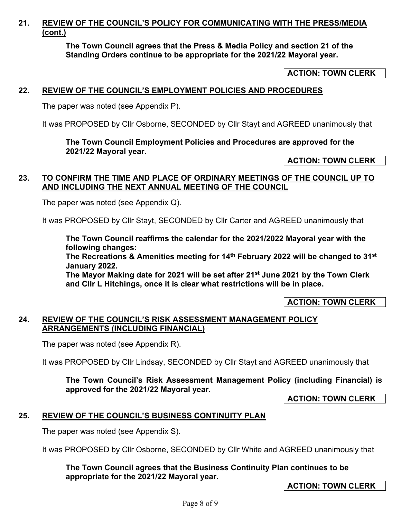# **21. REVIEW OF THE COUNCIL'S POLICY FOR COMMUNICATING WITH THE PRESS/MEDIA (cont.)**

**The Town Council agrees that the Press & Media Policy and section 21 of the Standing Orders continue to be appropriate for the 2021/22 Mayoral year.** 

## **ACTION: TOWN CLERK**

### **22. REVIEW OF THE COUNCIL'S EMPLOYMENT POLICIES AND PROCEDURES**

The paper was noted (see Appendix P).

It was PROPOSED by Cllr Osborne, SECONDED by Cllr Stayt and AGREED unanimously that

#### **The Town Council Employment Policies and Procedures are approved for the 2021/22 Mayoral year.**

**ACTION: TOWN CLERK** 

### **23. TO CONFIRM THE TIME AND PLACE OF ORDINARY MEETINGS OF THE COUNCIL UP TO AND INCLUDING THE NEXT ANNUAL MEETING OF THE COUNCIL**

The paper was noted (see Appendix Q).

It was PROPOSED by Cllr Stayt, SECONDED by Cllr Carter and AGREED unanimously that

**The Town Council reaffirms the calendar for the 2021/2022 Mayoral year with the following changes:** 

**The Recreations & Amenities meeting for 14th February 2022 will be changed to 31st January 2022.** 

**The Mayor Making date for 2021 will be set after 21st June 2021 by the Town Clerk and Cllr L Hitchings, once it is clear what restrictions will be in place.** 

**ACTION: TOWN CLERK** 

## **24. REVIEW OF THE COUNCIL'S RISK ASSESSMENT MANAGEMENT POLICY ARRANGEMENTS (INCLUDING FINANCIAL)**

The paper was noted (see Appendix R).

It was PROPOSED by Cllr Lindsay, SECONDED by Cllr Stayt and AGREED unanimously that

# **The Town Council's Risk Assessment Management Policy (including Financial) is approved for the 2021/22 Mayoral year.**

**ACTION: TOWN CLERK** 

# **25. REVIEW OF THE COUNCIL'S BUSINESS CONTINUITY PLAN**

The paper was noted (see Appendix S).

It was PROPOSED by Cllr Osborne, SECONDED by Cllr White and AGREED unanimously that

**The Town Council agrees that the Business Continuity Plan continues to be appropriate for the 2021/22 Mayoral year.** 

**ACTION: TOWN CLERK**